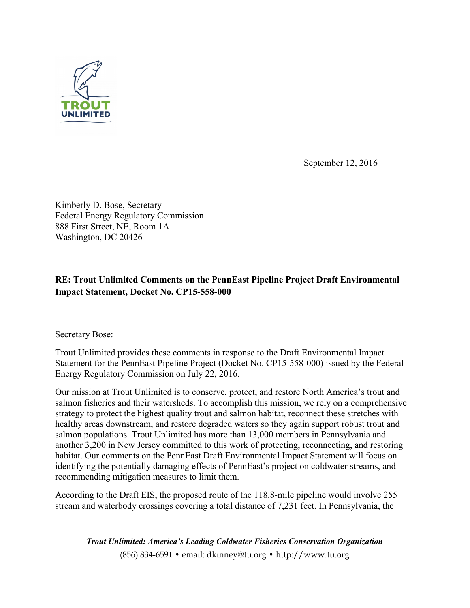

September 12, 2016

Kimberly D. Bose, Secretary Federal Energy Regulatory Commission 888 First Street, NE, Room 1A Washington, DC 20426

# **RE: Trout Unlimited Comments on the PennEast Pipeline Project Draft Environmental Impact Statement, Docket No. CP15-558-000**

Secretary Bose:

Trout Unlimited provides these comments in response to the Draft Environmental Impact Statement for the PennEast Pipeline Project (Docket No. CP15-558-000) issued by the Federal Energy Regulatory Commission on July 22, 2016.

Our mission at Trout Unlimited is to conserve, protect, and restore North America's trout and salmon fisheries and their watersheds. To accomplish this mission, we rely on a comprehensive strategy to protect the highest quality trout and salmon habitat, reconnect these stretches with healthy areas downstream, and restore degraded waters so they again support robust trout and salmon populations. Trout Unlimited has more than 13,000 members in Pennsylvania and another 3,200 in New Jersey committed to this work of protecting, reconnecting, and restoring habitat. Our comments on the PennEast Draft Environmental Impact Statement will focus on identifying the potentially damaging effects of PennEast's project on coldwater streams, and recommending mitigation measures to limit them.

According to the Draft EIS, the proposed route of the 118.8-mile pipeline would involve 255 stream and waterbody crossings covering a total distance of 7,231 feet. In Pennsylvania, the

*Trout Unlimited: America's Leading Coldwater Fisheries Conservation Organization* (856) 834-6591 • email: dkinney@tu.org • http://www.tu.org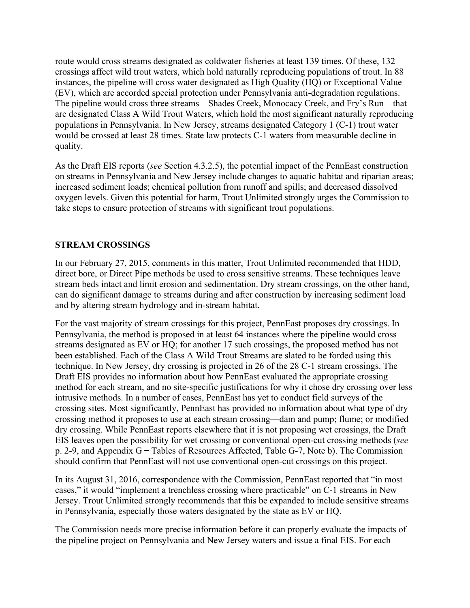route would cross streams designated as coldwater fisheries at least 139 times. Of these, 132 crossings affect wild trout waters, which hold naturally reproducing populations of trout. In 88 instances, the pipeline will cross water designated as High Quality (HQ) or Exceptional Value (EV), which are accorded special protection under Pennsylvania anti-degradation regulations. The pipeline would cross three streams—Shades Creek, Monocacy Creek, and Fry's Run—that are designated Class A Wild Trout Waters, which hold the most significant naturally reproducing populations in Pennsylvania. In New Jersey, streams designated Category 1 (C-1) trout water would be crossed at least 28 times. State law protects C-1 waters from measurable decline in quality.

As the Draft EIS reports (*see* Section 4.3.2.5), the potential impact of the PennEast construction on streams in Pennsylvania and New Jersey include changes to aquatic habitat and riparian areas; increased sediment loads; chemical pollution from runoff and spills; and decreased dissolved oxygen levels. Given this potential for harm, Trout Unlimited strongly urges the Commission to take steps to ensure protection of streams with significant trout populations.

## **STREAM CROSSINGS**

In our February 27, 2015, comments in this matter, Trout Unlimited recommended that HDD, direct bore, or Direct Pipe methods be used to cross sensitive streams. These techniques leave stream beds intact and limit erosion and sedimentation. Dry stream crossings, on the other hand, can do significant damage to streams during and after construction by increasing sediment load and by altering stream hydrology and in-stream habitat.

For the vast majority of stream crossings for this project, PennEast proposes dry crossings. In Pennsylvania, the method is proposed in at least 64 instances where the pipeline would cross streams designated as EV or HQ; for another 17 such crossings, the proposed method has not been established. Each of the Class A Wild Trout Streams are slated to be forded using this technique. In New Jersey, dry crossing is projected in 26 of the 28 C-1 stream crossings. The Draft EIS provides no information about how PennEast evaluated the appropriate crossing method for each stream, and no site-specific justifications for why it chose dry crossing over less intrusive methods. In a number of cases, PennEast has yet to conduct field surveys of the crossing sites. Most significantly, PennEast has provided no information about what type of dry crossing method it proposes to use at each stream crossing—dam and pump; flume; or modified dry crossing. While PennEast reports elsewhere that it is not proposing wet crossings, the Draft EIS leaves open the possibility for wet crossing or conventional open-cut crossing methods (*see* p. 2-9, and Appendix G ̶ Tables of Resources Affected, Table G-7, Note b). The Commission should confirm that PennEast will not use conventional open-cut crossings on this project.

In its August 31, 2016, correspondence with the Commission, PennEast reported that "in most cases," it would "implement a trenchless crossing where practicable" on C-1 streams in New Jersey. Trout Unlimited strongly recommends that this be expanded to include sensitive streams in Pennsylvania, especially those waters designated by the state as EV or HQ.

The Commission needs more precise information before it can properly evaluate the impacts of the pipeline project on Pennsylvania and New Jersey waters and issue a final EIS. For each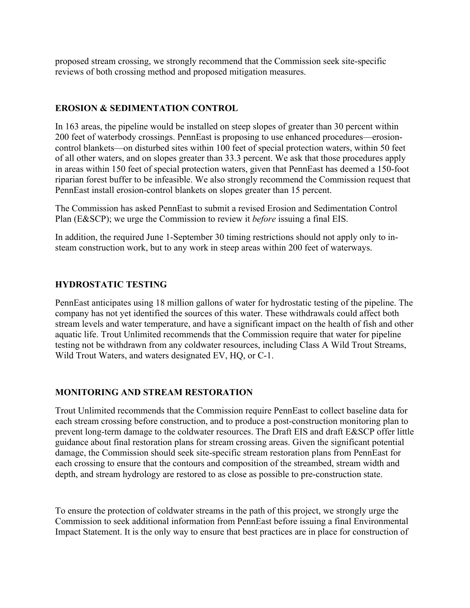proposed stream crossing, we strongly recommend that the Commission seek site-specific reviews of both crossing method and proposed mitigation measures.

## **EROSION & SEDIMENTATION CONTROL**

In 163 areas, the pipeline would be installed on steep slopes of greater than 30 percent within 200 feet of waterbody crossings. PennEast is proposing to use enhanced procedures—erosioncontrol blankets—on disturbed sites within 100 feet of special protection waters, within 50 feet of all other waters, and on slopes greater than 33.3 percent. We ask that those procedures apply in areas within 150 feet of special protection waters, given that PennEast has deemed a 150-foot riparian forest buffer to be infeasible. We also strongly recommend the Commission request that PennEast install erosion-control blankets on slopes greater than 15 percent.

The Commission has asked PennEast to submit a revised Erosion and Sedimentation Control Plan (E&SCP); we urge the Commission to review it *before* issuing a final EIS.

In addition, the required June 1-September 30 timing restrictions should not apply only to insteam construction work, but to any work in steep areas within 200 feet of waterways.

## **HYDROSTATIC TESTING**

PennEast anticipates using 18 million gallons of water for hydrostatic testing of the pipeline. The company has not yet identified the sources of this water. These withdrawals could affect both stream levels and water temperature, and have a significant impact on the health of fish and other aquatic life. Trout Unlimited recommends that the Commission require that water for pipeline testing not be withdrawn from any coldwater resources, including Class A Wild Trout Streams, Wild Trout Waters, and waters designated EV, HQ, or C-1.

## **MONITORING AND STREAM RESTORATION**

Trout Unlimited recommends that the Commission require PennEast to collect baseline data for each stream crossing before construction, and to produce a post-construction monitoring plan to prevent long-term damage to the coldwater resources. The Draft EIS and draft E&SCP offer little guidance about final restoration plans for stream crossing areas. Given the significant potential damage, the Commission should seek site-specific stream restoration plans from PennEast for each crossing to ensure that the contours and composition of the streambed, stream width and depth, and stream hydrology are restored to as close as possible to pre-construction state.

To ensure the protection of coldwater streams in the path of this project, we strongly urge the Commission to seek additional information from PennEast before issuing a final Environmental Impact Statement. It is the only way to ensure that best practices are in place for construction of